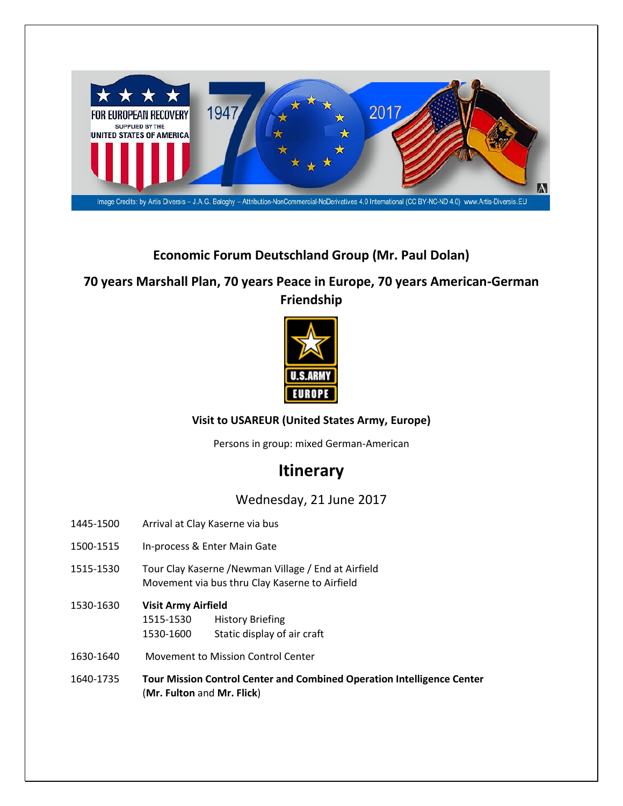

## **Economic Forum Deutschland Group (Mr. Paul Dolan)**

**70 years Marshall Plan, 70 years Peace in Europe, 70 years American-German Friendship**



### **Visit to USAREUR (United States Army, Europe)**

Persons in group: mixed German-American

# **Itinerary**

Wednesday, 21 June 2017

- 1445-1500 Arrival at Clay Kaserne via bus
- 1500-1515 In-process & Enter Main Gate
- 1515-1530 Tour Clay Kaserne /Newman Village / End at Airfield Movement via bus thru Clay Kaserne to Airfield
- 1530-1630 **Visit Army Airfield** 1515-1530 History Briefing 1530-1600 Static display of air craft
- 1630-1640 Movement to Mission Control Center
- 1640-1735 **Tour Mission Control Center and Combined Operation Intelligence Center** (**Mr. Fulton** and **Mr. Flick**)